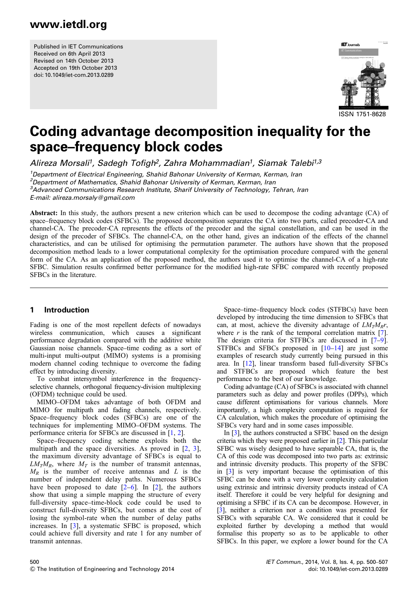Published in IET Communications Received on 6th April 2013 Revised on 14th October 2013 Accepted on 19th October 2013 doi: 10.1049/iet-com.2013.0289



# Coding advantage decomposition inequality for the space–frequency block codes

Alireza Morsali<sup>1</sup>, Sadegh Tofigh<sup>2</sup>, Zahra Mohammadian<sup>1</sup>, Siamak Talebi<sup>1,3</sup>

<sup>1</sup>Department of Electrical Engineering, Shahid Bahonar University of Kerman, Kerman, Iran <sup>2</sup> Department of Mathematics, Shahid Bahonar University of Kerman, Kerman, Iran <sup>3</sup>Advanced Communications Research Institute, Sharif University of Technology, Tehran, Iran E-mail: alireza.morsaly@gmail.com

Abstract: In this study, the authors present a new criterion which can be used to decompose the coding advantage (CA) of space–frequency block codes (SFBCs). The proposed decomposition separates the CA into two parts, called precoder-CA and channel-CA. The precoder-CA represents the effects of the precoder and the signal constellation, and can be used in the design of the precoder of SFBCs. The channel-CA, on the other hand, gives an indication of the effects of the channel characteristics, and can be utilised for optimising the permutation parameter. The authors have shown that the proposed decomposition method leads to a lower computational complexity for the optimisation procedure compared with the general form of the CA. As an application of the proposed method, the authors used it to optimise the channel-CA of a high-rate SFBC. Simulation results confirmed better performance for the modified high-rate SFBC compared with recently proposed SFBCs in the literature.

### 1 Introduction

Fading is one of the most repellent defects of nowadays wireless communication, which causes a significant performance degradation compared with the additive white Gaussian noise channels. Space–time coding as a sort of multi-input multi-output (MIMO) systems is a promising modern channel coding technique to overcome the fading effect by introducing diversity.

To combat intersymbol interference in the frequencyselective channels, orthogonal frequency-division multiplexing (OFDM) technique could be used.

MIMO–OFDM takes advantage of both OFDM and MIMO for multipath and fading channels, respectively. Space–frequency block codes (SFBCs) are one of the techniques for implementing MIMO–OFDM systems. The performance criteria for SFBCs are discussed in [1, 2].

Space–frequency coding scheme exploits both the multipath and the space diversities. As proved in [2, 3], the maximum diversity advantage of SFBCs is equal to  $LM_TM_R$ , where  $M_T$  is the number of transmit antennas,  $M_R$  is the number of receive antennas and L is the number of independent delay paths. Numerous SFBCs have been proposed to date  $[2-6]$ . In  $[2]$ , the authors show that using a simple mapping the structure of every full-diversity space–time-block code could be used to construct full-diversity SFBCs, but comes at the cost of losing the symbol-rate when the number of delay paths increases. In [3], a systematic SFBC is proposed, which could achieve full diversity and rate 1 for any number of transmit antennas.

Space–time–frequency block codes (STFBCs) have been developed by introducing the time dimension to SFBCs that can, at most, achieve the diversity advantage of  $LM_TM_{\rm R}r$ , where  $r$  is the rank of the temporal correlation matrix [7]. The design criteria for STFBCs are discussed in [7–9]. STFBCs and SFBCs proposed in  $[10-14]$  are just some examples of research study currently being pursued in this area. In [12], linear transform based full-diversity SFBCs and STFBCs are proposed which feature the best performance to the best of our knowledge.

Coding advantage (CA) of SFBCs is associated with channel parameters such as delay and power profiles (DPPs), which cause different optimisations for various channels. More importantly, a high complexity computation is required for CA calculation, which makes the procedure of optimising the SFBCs very hard and in some cases impossible.

In [3], the authors constructed a SFBC based on the design criteria which they were proposed earlier in [2]. This particular SFBC was wisely designed to have separable CA, that is, the CA of this code was decomposed into two parts as: extrinsic and intrinsic diversity products. This property of the SFBC in [3] is very important because the optimisation of this SFBC can be done with a very lower complexity calculation using extrinsic and intrinsic diversity products instead of CA itself. Therefore it could be very helpful for designing and optimising a SFBC if its CA can be decompose. However, in [3], neither a criterion nor a condition was presented for SFBCs with separable CA. We considered that it could be exploited further by developing a method that would formalise this property so as to be applicable to other SFBCs. In this paper, we explore a lower bound for the CA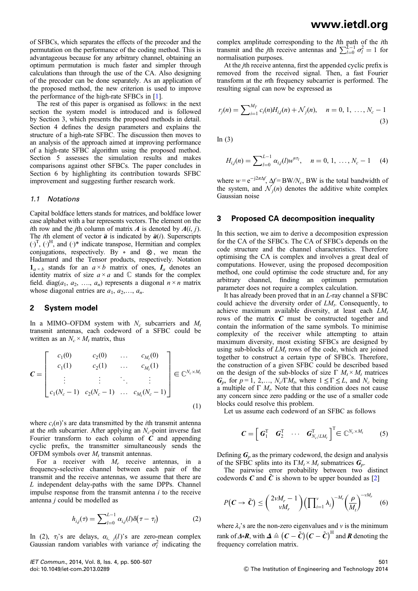of SFBCs, which separates the effects of the precoder and the permutation on the performance of the coding method. This is advantageous because for any arbitrary channel, obtaining an optimum permutation is much faster and simpler through calculations than through the use of the CA. Also designing of the precoder can be done separately. As an application of the proposed method, the new criterion is used to improve the performance of the high-rate SFBCs in [1].

The rest of this paper is organised as follows: in the next section the system model is introduced and is followed by Section 3, which presents the proposed methods in detail. Section 4 defines the design parameters and explains the structure of a high-rate SFBC. The discussion then moves to an analysis of the approach aimed at improving performance of a high-rate SFBC algorithm using the proposed method. Section 5 assesses the simulation results and makes comparisons against other SFBCs. The paper concludes in Section 6 by highlighting its contribution towards SFBC improvement and suggesting further research work.

#### 1.1 Notations

Capital boldface letters stands for matrices, and boldface lower case alphabet with a bar represents vectors. The element on the ith row and the jth column of matrix  $A$  is denoted by  $A(i, j)$ . The *i*th element of vector  $\bar{a}$  is indicated by  $\bar{a}(i)$ . Superscripts  $(\cdot)^T$ ,  $(\cdot)^H$ , and  $(\cdot)^*$  indicate transpose, Hermitian and complex conjugations, respectively. By ∘ and ⊗ , we mean the Hadamard and the Tensor products, respectively. Notation  $\mathbf{1}_{a \times b}$  stands for an  $a \times b$  matrix of ones,  $I_a$  denotes an identity matrix of size  $a \times a$  and  $\mathbb C$  stands for the complex field. diag( $a_1, a_2, \ldots, a_n$ ) represents a diagonal  $n \times n$  matrix whose diagonal entries are  $a_1, a_2, \ldots, a_n$ .

#### 2 System model

In a MIMO–OFDM system with  $N_c$  subcarriers and  $M_t$ transmit antennas, each codeword of a SFBC could be written as an  $N_c \times M_t$  matrix, thus

$$
\mathbf{C} = \begin{bmatrix} c_1(0) & c_2(0) & \dots & c_{M_t}(0) \\ c_1(1) & c_2(1) & \dots & c_{M_t}(1) \\ \vdots & \vdots & \ddots & \vdots \\ c_1(N_c-1) & c_2(N_c-1) & \dots & c_{M_t}(N_c-1) \end{bmatrix} \in \mathbb{C}^{N_c \times M_t}
$$
\n(1)

where  $c_i(n)$ 's are data transmitted by the *i*th transmit antenna at the *n*th subcarrier. After applying an  $N_c$ -point inverse fast Fourier transform to each column of  $C$  and appending cyclic prefix, the transmitter simultaneously sends the OFDM symbols over  $M_t$  transmit antennas.

For a receiver with  $M_r$  receive antennas, in a frequency-selective channel between each pair of the transmit and the receive antennas, we assume that there are L independent delay-paths with the same DPPs. Channel impulse response from the transmit antenna  $i$  to the receive antenna j could be modelled as

$$
h_{i,j}(\tau) = \sum_{l=0}^{L-1} \alpha_{i,j}(l) \delta(\tau - \tau_l)
$$
 (2)

In (2),  $\tau_i$ 's are delays,  $\alpha_{i,j}(l)$ 's are zero-mean complex Gaussian random variables with variance  $\sigma_l^2$  indicating the

complex amplitude corresponding to the *l*th path of the *i*th transmit and the *j*th receive antennas and  $\sum_{l=0}^{L-1} \sigma_l^2 = 1$  for normalisation purposes.

At the jth receive antenna, first the appended cyclic prefix is removed from the received signal. Then, a fast Fourier transform at the nth frequency subcarrier is performed. The resulting signal can now be expressed as

$$
r_j(n) = \sum_{i=1}^{M_T} c_i(n) H_{i,j}(n) + \mathcal{N}_j(n), \quad n = 0, 1, ..., N_c - 1
$$
\n(3)

In  $(3)$ 

$$
H_{i,j}(n) = \sum_{l=0}^{L-1} \alpha_{i,j}(l) w^{n\tau_l}, \quad n = 0, 1, ..., N_c - 1 \quad (4)
$$

where  $w = e^{-j2\pi\Delta f}$ ,  $\Delta f = BW/N_c$ , BW is the total bandwidth of the system, and  $\mathcal{N}_i(n)$  denotes the additive white complex Gaussian noise

#### 3 Proposed CA decomposition inequality

In this section, we aim to derive a decomposition expression for the CA of the SFBCs. The CA of SFBCs depends on the code structure and the channel characteristics. Therefore optimising the CA is complex and involves a great deal of computations. However, using the proposed decomposition method, one could optimise the code structure and, for any arbitrary channel, finding an optimum permutation parameter does not require a complex calculation.

It has already been proved that in an L-ray channel a SFBC could achieve the diversity order of  $LM_t$ . Consequently, to achieve maximum available diversity, at least each  $LM_t$ rows of the matrix  $C$  must be constructed together and contain the information of the same symbols. To minimise complexity of the receiver while attempting to attain maximum diversity, most existing SFBCs are designed by using sub-blocks of  $LM_t$  rows of the code, which are joined together to construct a certain type of SFBCs. Therefore, the construction of a given SFBC could be described based on the design of the sub-blocks of size  $\Gamma M_t \times M_t$  matrices  $G_p$ , for  $p = 1, 2, \ldots, N_c/\Gamma M_t$ , where  $1 \leq \Gamma \leq L$ , and  $N_c$  being a multiple of  $\Gamma M_t$ . Note that this condition does not cause any concern since zero padding or the use of a smaller code blocks could resolve this problem.

Let us assume each codeword of an SFBC as follows

$$
\boldsymbol{C} = \begin{bmatrix} \boldsymbol{G}_1^{\mathrm{T}} & \boldsymbol{G}_2^{\mathrm{T}} & \cdots & \boldsymbol{G}_{N_c/LM_t}^{\mathrm{T}} \end{bmatrix}^{\mathrm{T}} \in \mathbb{C}^{N_c \times M_t}
$$
 (5)

Defining  $G_p$  as the primary codeword, the design and analysis of the SFBC splits into its  $\Gamma M_t \times M_t$  submatrices  $G_p$ .

The pairwise error probability between two distinct codewords C and C is shown to be upper bounded as  $[2]$ 

$$
P(C \to \tilde{C}) \leq {2vM_r - 1 \choose vM_r} \left(\prod_{i=1}^v \lambda_i\right)^{-M_r} \left(\frac{\rho}{M_t}\right)^{-vM_r} \quad (6)
$$

where  $\lambda_i$ 's are the non-zero eigenvalues and v is the minimum rank of  $\varDelta$ ∘ $R$ , with  $\varDelta \triangleq \big( C - \tilde{C} \big) \big( C - \tilde{C} \big)^\text{H}$  and  $R$  denoting the frequency correlation matrix.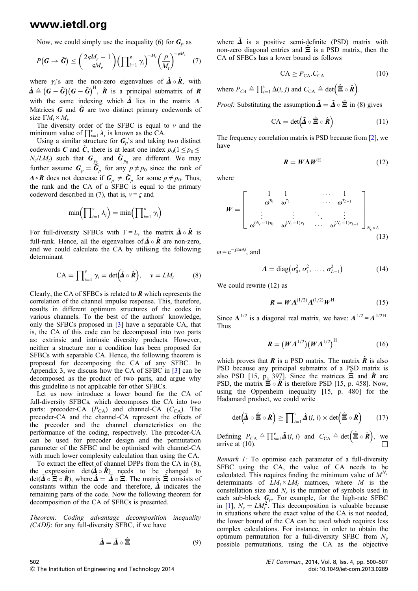Now, we could simply use the inequality (6) for  $G_p$  as

$$
P(G \to \tilde{G}) \leq {2sM_r - 1 \choose sM_r} \left(\prod_{i=1}^s \gamma_i\right)^{-M_r} \left(\frac{\rho}{M_t}\right)^{-sM_r} (7)
$$

where  $\gamma_i$ 's are the non-zero eigenvalues of  $\hat{\mathbf{\Delta}} \circ \hat{\mathbf{R}}$ , with  $\hat{\Delta} \triangleq (G - \tilde{G})(G - \tilde{G})^{\text{H}}$ ,  $\hat{R}$  is a principal submatrix of  $R$ with the same indexing which  $\hat{\mathbf{\Delta}}$  lies in the matrix  $\mathbf{\Delta}$ . Matrices  $\boldsymbol{G}$  and  $\hat{\boldsymbol{G}}$  are two distinct primary codewords of size  $\Gamma M_t \times M_t$ .

The diversity order of the SFBC is equal to  $v$  and the minimum value of  $\prod_{i=1}^{v} \lambda_i$  is known as the CA.

Using a similar structure for  $G_p$ 's and taking two distinct codewords C and  $\tilde{C}$ , there is at least one index  $p_0(1 \le p_0 \le$  $N_c/LM_t$ ) such that  $G_{p_0}$  and  $\tilde{G}_{p_0}$  are different. We may further assume  $G_p = \tilde{G}_p$  for any  $p \neq p_0$  since the rank of  $\Delta \cdot \mathbf{R}$  does not decrease if  $\mathbf{G}_p \neq \tilde{\mathbf{G}}_p$  for some  $p \neq p_0$ . Thus, the rank and the CA of a SFBC is equal to the primary codeword described in (7), that is,  $v = \zeta$  and

$$
\min\left(\prod_{i=1}^{v} \lambda_i\right) = \min\left(\prod_{i=1}^{s} \gamma_i\right)
$$

For full-diversity SFBCs with  $\Gamma = L$ , the matrix  $\hat{\mathbf{\Lambda}} \circ \hat{\mathbf{R}}$  is full-rank. Hence, all the eigenvalues of  $\hat{\mathbf{\Delta}} \circ \hat{\mathbf{R}}$  are non-zero, and we could calculate the CA by utilising the following determinant

$$
CA = \prod_{i=1}^{v} \gamma_i = \det(\hat{\mathbf{\Delta}} \circ \hat{\mathbf{R}}), \quad v = LM_t \tag{8}
$$

Clearly, the CA of SFBCs is related to  *which represents the* correlation of the channel impulse response. This, therefore, results in different optimum structures of the codes in various channels. To the best of the authors' knowledge, only the SFBCs proposed in [3] have a separable CA, that is, the CA of this code can be decomposed into two parts as: extrinsic and intrinsic diversity products. However, neither a structure nor a condition has been proposed for SFBCs with separable CA. Hence, the following theorem is proposed for decomposing the CA of any SFBC. In Appendix 3, we discuss how the CA of SFBC in [3] can be decomposed as the product of two parts, and argue why this guideline is not applicable for other SFBCs.

Let us now introduce a lower bound for the CA of full-diversity SFBCs, which decomposes the CA into two parts: precoder-CA  $(P_{CA})$  and channel-CA  $(C_{CA})$ . The precoder-CA and the channel-CA represent the effects of the precoder and the channel characteristics on the performance of the coding, respectively. The precoder-CA can be used for precoder design and the permutation parameter of the SFBC and be optimised with channel-CA with much lower complexity calculation than using the CA.

To extract the effect of channel DPPs from the CA in (8), the expression det  $(\hat{\mathbf{A}} \circ \hat{\mathbf{R}})$  needs to be changed to  $\det(\vec{\Delta} \circ \vec{\Xi} \circ \hat{\mathbf{R}})$ , where  $\hat{\Delta} = \vec{\Delta} \circ \vec{\Xi}$ . The matrix  $\vec{\Xi}$  consists of constants within the code and therefore,  $\tilde{\Delta}$  indicates the remaining parts of the code. Now the following theorem for decomposition of the CA of SFBCs is presented.

Theorem: Coding advantage decomposition inequality (CADI): for any full-diversity SFBC, if we have

$$
\hat{\mathbf{\Delta}} = \hat{\mathbf{\Delta}} \circ \hat{\mathbf{\Xi}} \tag{9}
$$

where  $\tilde{\mathbf{\Delta}}$  is a positive semi-definite (PSD) matrix with non-zero diagonal entries and  $\hat{\Xi}$  is a PSD matrix, then the CA of SFBCs has a lower bound as follows

$$
CA \ge P_{CA}.C_{CA}
$$
 (10)

where  $P_{CA} \triangleq \prod_{i=1}^{v} \Delta(i, j)$  and  $C_{CA} \triangleq \det (\hat{\mathbf{\Xi}} \circ \hat{\mathbf{R}})$ .

*Proof:* Substituting the assumption  $\tilde{\mathbf{\Delta}} = \tilde{\mathbf{\Delta}} \circ \tilde{\mathbf{\Xi}}$  in (8) gives

$$
CA = det(\tilde{\mathbf{\Delta}} \circ \hat{\mathbf{\Xi}} \circ \hat{\mathbf{R}})
$$
 (11)

The frequency correlation matrix is PSD because from [2], we have

$$
R = W\Lambda W^{\rm H} \tag{12}
$$

where

$$
W = \begin{bmatrix} 1 & 1 & & \cdots & 1 \\ \omega^{\tau_0} & \omega^{\tau_1} & & \cdots & \omega^{\tau_{L-1}} \\ \vdots & & \vdots & \ddots & \vdots \\ \omega^{(N_c-1)\tau_0} & \omega^{(N_c-1)\tau_1} & \cdots & \omega^{(N_c-1)\tau_{L-1}} \end{bmatrix}_{N_c \times L}
$$
(13)

 $\omega = e^{-j2\pi\Delta f}$ , and

$$
\Lambda = \text{diag}(\sigma_0^2, \sigma_1^2, \dots, \sigma_{L-1}^2)
$$
 (14)

We could rewrite (12) as

$$
\boldsymbol{R} = \boldsymbol{W} \boldsymbol{\Lambda}^{(1/2)} \boldsymbol{\Lambda}^{(1/2)} \boldsymbol{W}^{\mathrm{H}} \tag{15}
$$

Since  $\Lambda^{1/2}$  is a diagonal real matrix, we have:  $\Lambda^{1/2} = \Lambda^{1/2H}$ . Thus

$$
\boldsymbol{R} = \left(\boldsymbol{W}\boldsymbol{\Lambda}^{1/2}\right) \left(\boldsymbol{W}\boldsymbol{\Lambda}^{1/2}\right)^{\mathrm{H}} \tag{16}
$$

which proves that **R** is a PSD matrix. The matrix  $\hat{\mathbf{R}}$  is also PSD because any principal submatrix of a PSD matrix is also PSD [15, p. 397]. Since the matrices  $\Xi$  and  $\hat{R}$  are PSD, the matrix  $\Xi \circ \hat{\mathbf{R}}$  is therefore PSD [15, p. 458]. Now, using the Oppenheim inequality [15, p. 480] for the Hadamard product, we could write

$$
\det\left(\tilde{\mathbf{\Delta}}\circ\hat{\Xi}\circ\hat{\mathbf{\mathcal{R}}}\right)\geq\prod_{i=1}^{\nu}\tilde{\mathbf{\Delta}}(i,i)\times\det\left(\hat{\Xi}\circ\hat{\mathbf{\mathcal{R}}}\right) \qquad(17)
$$

Defining  $P_{CA} \triangleq \prod_{i=1}^{v} \tilde{\mathbf{\Delta}}(i, i)$  and  $C_{CA} \triangleq \det (\hat{\mathbf{\Xi}} \circ \hat{\mathbf{R}})$ , we arrive at (10).

Remark 1: To optimise each parameter of a full-diversity SFBC using the CA, the value of CA needs to be calculated. This requires finding the minimum value of  $M^{N_s}$ determinants of  $LM_t \times LM_t$  matrices, where M is the constellation size and  $N<sub>s</sub>$  is the number of symbols used in each sub-block  $\mathbf{G}_p$ . For example, for the high-rate SFBC in [1],  $N_s = LM_t^2$ . This decomposition is valuable because in situations where the exact value of the CA is not needed, the lower bound of the CA can be used which requires less complex calculations. For instance, in order to obtain the optimum permutation for a full-diversity SFBC from  $N_{\gamma}$ possible permutations, using the CA as the objective

502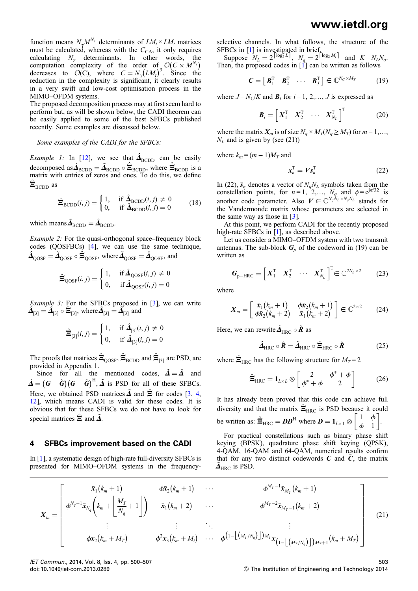function means  $N_{\gamma}M^{N_s}$  determinants of  $LM_t \times LM_t$  matrices must be calculated, whereas with the  $C_{CA}$ , it only requires calculating  $N_{\gamma}$  determinants. In other words, the computation complexity of the order of  $\mathcal{O}(C \times M^{N_s})$ decreases to  $\mathcal{O}(C)$ , where  $C = N_{\gamma} (LM_t)^3$ . Since the reduction in the complexity is significant, it clearly results in a very swift and low-cost optimisation process in the MIMO–OFDM systems.

The proposed decomposition process may at first seem hard to perform but, as will be shown below, the CADI theorem can be easily applied to some of the best SFBCs published recently. Some examples are discussed below.

#### Some examples of the CADI for the SFBCs:

*Example 1*: In [12], we see that  $\hat{\mathbf{A}}_{\text{BCDD}}$  can be easily decomposed as  $\hat{\mathbf{\Delta}}_{\text{BCDD}} = \tilde{\mathbf{\Delta}}_{\text{BCDD}} \circ \hat{\mathbf{\Xi}}_{\text{BCDD}}$ , where  $\hat{\mathbf{\Xi}}_{\text{BCDD}}$  is a matrix with entries of zeros and ones. To do this, we define  $\hat{\Xi}_{\text{BCDD}}$  as

$$
\hat{\Xi}_{\text{BCDD}}(i,j) = \begin{cases} 1, & \text{if } \hat{\Delta}_{\text{BCDD}}(i,j) \neq 0 \\ 0, & \text{if } \hat{\Delta}_{\text{BCDD}}(i,j) = 0 \end{cases} \tag{18}
$$

which means  $\tilde{\mathbf{\Delta}}_{\text{BCDD}} = \hat{\mathbf{\Delta}}_{\text{BCDD}}$ .

Example 2: For the quasi-orthogonal space–frequency block codes (QOSFBCs) [4], we can use the same technique,  $\hat{\bf\Delta}_{\rm QOSF}=\tilde{\bf\Delta}_{\rm QOSF}\circ\hat{\bf\Xi}_{\rm QOSF},$  where  $\tilde{\bf\Delta}_{\rm QOSF}=\hat{\bf\Delta}_{\rm QOSF},$  and

$$
\hat{\Xi}_{\text{QOSF}}(i,j) = \begin{cases} 1, & \text{if } \hat{\Delta}_{\text{QOSF}}(i,j) \neq 0 \\ 0, & \text{if } \hat{\Delta}_{\text{QOSF}}(i,j) = 0 \end{cases}
$$

Example 3: For the SFBCs proposed in [3], we can write  $\vec{A}_{[3]} = \vec{A}_{[3]} \circ \vec{E}_{[3]}$ , where  $\vec{A}_{[3]} = \vec{A}_{[3]}$  and

$$
\hat{\Xi}_{[3]}(i,j) = \begin{cases} 1, & \text{if } \hat{\mathbf{\Delta}}_{[3]}(i,j) \neq 0 \\ 0, & \text{if } \hat{\mathbf{\Delta}}_{[3]}(i,j) = 0 \end{cases}
$$

The proofs that matrices  $\hat{\Xi}_{\text{QOSF}}, \hat{\Xi}_{\text{BCDD}}$  and  $\hat{\Xi}_{[3]}$  are PSD, are provided in Appendix 1.

Since for all the mentioned codes,  $\tilde{\mathbf{\Delta}} = \hat{\mathbf{\Delta}}$  and  $\hat{\mathbf{\Delta}} = (\mathbf{G} - \tilde{\mathbf{G}})(\mathbf{G} - \tilde{\mathbf{G}})^{\text{H}}, \tilde{\mathbf{\Delta}}$  is PSD for all of these SFBCs. Here, we obtained PSD matrices  $\tilde{\mathbf{\Delta}}$  and  $\tilde{\mathbf{\Xi}}$  for codes [3, 4, 12], which means CADI is valid for these codes. It is obvious that for these SFBCs we do not have to look for special matrices  $\Xi$  and  $\tilde{\Delta}$ .

#### 4 SFBCs improvement based on the CADI

In [1], a systematic design of high-rate full-diversity SFBCs is presented for MIMO–OFDM systems in the frequencyselective channels. In what follows, the structure of the SFBCs in [1] is investigated in brief.

Suppose  $N_L = 2^{\lceil \log_2 L \rceil}$ ,  $N_q = 2^{\lceil \log_2 M_t \rceil}$  and  $K = N_L N_q$ . Then, the proposed codes in  $\begin{bmatrix} 1 \\ 1 \end{bmatrix}$  can be written as follows

$$
\mathbf{C} = \begin{bmatrix} \mathbf{B}_1^{\mathrm{T}} & \mathbf{B}_2^{\mathrm{T}} & \cdots & \mathbf{B}_J^{\mathrm{T}} \end{bmatrix} \in \mathbb{C}^{N_C \times M_T} \tag{19}
$$

where  $J = N_C/K$  and  $\mathbf{B}_i$  for  $i = 1, 2, ..., J$  is expressed as

$$
\boldsymbol{B}_{i} = \begin{bmatrix} \boldsymbol{X}_{1}^{T} & \boldsymbol{X}_{2}^{T} & \cdots & \boldsymbol{X}_{N_{L}}^{T} \end{bmatrix}^{T}
$$
 (20)

where the matrix  $X_m$  is of size  $N_q \times M_T(N_q \ge M_T)$  for  $m = 1, \ldots,$  $N_L$  and is given by (see (21))

where  $k_m = (m-1)M_T$  and

$$
\bar{\mathbf{x}}_n^{\mathrm{T}} = V \bar{\mathbf{s}}_n^{\mathrm{T}} \tag{22}
$$

In (22),  $\bar{s}_n$  denotes a vector of  $N_qN_L$  symbols taken from the constellation points, for  $n = 1, 2, \ldots, N_q$  and  $\phi = e^{j\pi/32}$  is another code parameter. Also  $V \in \mathbb{C}^{N_q N_L \times N_q N_L}$  stands for the Vandermonde matrix whose parameters are selected in the same way as those in [3].

At this point, we perform CADI for the recently proposed high-rate SFBCs in [1], as described above.

Let us consider a MIMO–OFDM system with two transmit antennas. The sub-block  $G_p$  of the codeword in (19) can be written as

$$
\boldsymbol{G}_{\mathrm{p-HRC}} = \begin{bmatrix} X_1^{\mathrm{T}} & X_2^{\mathrm{T}} & \cdots & X_{N_L}^{\mathrm{T}} \end{bmatrix}^{\mathrm{T}} \in \mathbb{C}^{2N_L \times 2} \tag{23}
$$

where

$$
X_m = \begin{bmatrix} \bar{\mathbf{x}}_1(k_m+1) & \phi \bar{\mathbf{x}}_2(k_m+1) \\ \phi \bar{\mathbf{x}}_2(k_m+2) & \bar{\mathbf{x}}_1(k_m+2) \end{bmatrix} \in \mathbb{C}^{2 \times 2}
$$
 (24)

Here, we can rewrite  $\hat{\mathbf{\Lambda}}_{\text{HRC}} \circ \hat{\mathbf{R}}$  as

$$
\hat{\mathbf{\Delta}}_{\text{HRC}} \circ \hat{\mathbf{R}} = \tilde{\mathbf{\Delta}}_{\text{HRC}} \circ \hat{\Xi}_{\text{HRC}} \circ \hat{\mathbf{R}} \tag{25}
$$

where  $\hat{\Xi}_{\text{HRC}}$  has the following structure for  $M_T = 2$ 

$$
\hat{\Xi}_{\text{HRC}} = \mathbf{1}_{L \times L} \otimes \begin{bmatrix} 2 & \phi^* + \phi \\ \phi^* + \phi & 2 \end{bmatrix}
$$
 (26)

It has already been proved that this code can achieve full diversity and that the matrix  $\hat{\Xi}_{\text{HRC}}$  is PSD because it could be written as:  $\hat{\Xi}_{\text{HRC}} = DD^{\text{H}}$  where  $D = 1_{L\times1} \otimes \begin{bmatrix} 1 & \phi \\ \phi & 1 \end{bmatrix}$  $\begin{bmatrix} 1 & \phi \\ \phi & 1 \end{bmatrix}$ .

For practical constellations such as binary phase shift keying (BPSK), quadrature phase shift keying (QPSK), 4-QAM, 16-QAM and 64-QAM, numerical results confirm that for any two distinct codewords  $C$  and  $\tilde{C}$ , the matrix  $\tilde{\mathbf{\Delta}}_{\text{HRC}}$  is PSD.

$$
X_{m} = \begin{bmatrix} \bar{x}_{1}(k_{m}+1) & \phi \bar{x}_{2}(k_{m}+1) & \cdots & \phi^{M_{T}-1} \bar{x}_{M_{T}}(k_{m}+1) \\ \phi^{N_{q}-1} \bar{x}_{N_{q}}\left(k_{m}+\left[\frac{M_{T}}{N_{q}}+1\right]\right) & \bar{x}_{1}(k_{m}+2) & \cdots & \phi^{M_{T}-2} \bar{x}_{M_{T}-1}(k_{m}+2) \\ \vdots & \vdots & \ddots & \vdots \\ \phi \bar{x}_{2}(k_{m}+M_{T}) & \phi^{2} \bar{x}_{3}(k_{m}+M_{t}) & \cdots & \phi^{(1-\lfloor(M_{T}/N_{q})\rfloor)M_{T}} \bar{x}_{(1-\lfloor(M_{T}/N_{q})\rfloor)M_{T}+1}(k_{m}+M_{T}) \end{bmatrix}
$$
(21)

IET Commun., 2014, Vol. 8, Iss. 4, pp. 500–507 doi: 10.1049/iet-com.2013.0289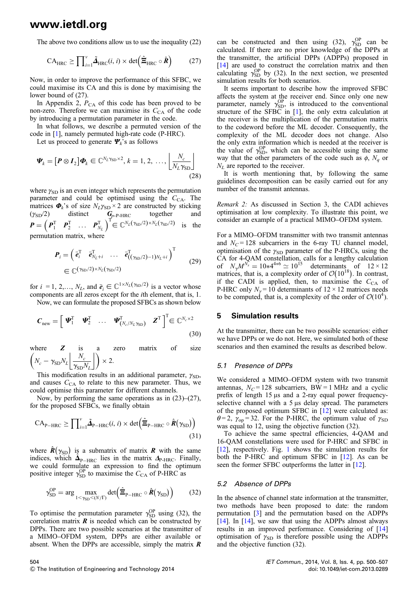The above two conditions allow us to use the inequality (22)

$$
CA_{\text{HRC}} \ge \prod_{i=1}^{v} \tilde{\Delta}_{\text{HRC}}(i, i) \times \det \left(\hat{\Xi}_{\text{HRC}} \circ \hat{\boldsymbol{R}}\right)
$$
 (27)

Now, in order to improve the performance of this SFBC, we could maximise its CA and this is done by maximising the lower bound of (27).

In Appendix 2,  $P_{CA}$  of this code has been proved to be non-zero. Therefore we can maximise its  $C_{CA}$  of the code by introducing a permutation parameter in the code.

In what follows, we describe a permuted version of the code in [1], namely permuted high-rate code (P-HRC).

Let us proceed to generate  $\Psi_k$ 's as follows

$$
\boldsymbol{\varPsi}_{k} = \left[\boldsymbol{P} \otimes \boldsymbol{I}_{2}\right] \boldsymbol{\varPhi}_{k} \in \mathbb{C}^{N_{L} \gamma_{\text{SD}} \times 2}, k = 1, 2, ..., \left\lfloor \frac{N_{c}}{N_{L} \gamma_{\text{SD}}} \right\rfloor
$$
\n(28)

where  $\gamma_{SD}$  is an even integer which represents the permutation parameter and could be optimised using the  $C_{CA}$ . The matrices  $\Phi_k$ 's of size  $N_L \gamma_{SD} \times 2$  are constructed by sticking  $(\gamma_{SD}/2)$  distinct  $G_{p-P-HRC}$  together and  $\boldsymbol{P} = \begin{pmatrix} \boldsymbol{P}_1^{\mathrm{T}} & \boldsymbol{P}_2^{\mathrm{T}} & \dots & \boldsymbol{P}_{N_L}^{\mathrm{T}} \end{pmatrix}^{\mathrm{T}} \in \mathbb{C}^{N_L(\gamma_{\mathrm{SD}}/2) \times N_L(\gamma_{\mathrm{SD}}/2)}$  is the permutation matrix, where

$$
\boldsymbol{P}_{i} = \begin{pmatrix} \bar{\boldsymbol{e}}_{i}^{\mathrm{T}} & \bar{\boldsymbol{e}}_{N_{L}+i}^{\mathrm{T}} & \cdots & \bar{\boldsymbol{e}}_{((\gamma_{\mathrm{SD}}/2)-1)N_{L}+i}^{\mathrm{T}} \end{pmatrix}^{\mathrm{T}} \in \mathbb{C}^{(\gamma_{\mathrm{SD}}/2) \times N_{L}(\gamma_{\mathrm{SD}}/2)}
$$
(29)

for  $i = 1, 2, ..., N_L$ , and  $\bar{e}_i \in \mathbb{C}^{1 \times N_L(\gamma_{\text{SD}}/2)}$  is a vector whose components are all zeros except for the ith element, that is, 1. Now, we can formulate the proposed SFBCs as shown below

$$
\boldsymbol{C}_{\text{new}} = \left[ \begin{array}{cccc} \boldsymbol{\varPsi}_{1}^{T} & \boldsymbol{\varPsi}_{2}^{T} & \dots & \boldsymbol{\varPsi}_{(N_{c}/N_{L}\gamma_{\text{SD}})}^{T} & \boldsymbol{Z}^{T} \end{array} \right]^{T} \in \mathbb{C}^{N_{c} \times 2}
$$
\n(30)

where  $Z$  is a zero matrix of size  $N_c - \gamma_{\rm SD} N_L \frac{N_c}{\gamma_{\rm crit}}$  $\left(N_c - \gamma_{SD} N_L \left\lfloor \frac{N_c}{\gamma_{SD} N_L} \right\rfloor \right) \times 2.$ 

This modification results in an additional parameter,  $\gamma_{SD}$ , and causes  $C_{CA}$  to relate to this new parameter. Thus, we could optimise this parameter for different channels.

Now, by performing the same operations as in (23)–(27), for the proposed SFBCs, we finally obtain

$$
CA_{P-HRC} \ge \prod_{i=1}^{v} \tilde{\Delta}_{P-HRC}(i,i) \times \det\left(\hat{\Xi}_{P-HRC} \circ \hat{\boldsymbol{R}}(\gamma_{SD})\right)
$$
\n(31)

where  $\hat{R}(\gamma_{SD})$  is a submatrix of matrix **R** with the same indices, which  $\hat{\Delta}_{P-\text{HRC}}$  lies in the matrix  $\Delta_{P-\text{HRC}}$ . Finally, we could formulate an expression to find the optimum positive integer  $\gamma_{SD}^{OP}$  to maximise the  $C_{CA}$  of P-HRC as

$$
\gamma_{\text{SD}}^{\text{OP}} = \arg \max_{1 < \gamma_{\text{SD}} < (N/\Gamma)} \det \left( \hat{\Xi}_{\text{P-HRC}} \circ \hat{\boldsymbol{R}} (\gamma_{\text{SD}}) \right) \tag{32}
$$

To optimise the permutation parameter  $\gamma_{SD}^{OP}$  using (32), the correlation matrix  $\boldsymbol{R}$  is needed which can be constructed by DPPs. There are two possible scenarios at the transmitter of a MIMO–OFDM system, DPPs are either available or absent. When the DPPs are accessible, simply the matrix  $$ 

can be constructed and then using (32),  $\gamma_{SD}^{OP}$  can be calculated. If there are no prior knowledge of the DPPs at the transmitter, the artificial DPPs (ADPPs) proposed in [14] are used to construct the correlation matrix and then calculating  $\gamma_{SD}^{OP}$  by (32). In the next section, we presented simulation results for both scenarios.

It seems important to describe how the improved SFBC affects the system at the receiver end. Since only one new parameter, namely  $\gamma_{SD}^{OP}$ , is introduced to the conventional structure of the SFBC in [1], the only extra calculation at the receiver is the multiplication of the permutation matrix to the codeword before the ML decoder. Consequently, the complexity of the ML decoder does not change. Also the only extra information which is needed at the receiver is the value of  $\gamma_{SD}^{OP}$ , which can be accessible using the same way that the other parameters of the code such as  $\phi$ ,  $N_q$  or  $N_L$  are reported to the receiver.

It is worth mentioning that, by following the same guidelines decomposition can be easily carried out for any number of the transmit antennas.

Remark 2: As discussed in Section 3, the CADI achieves optimisation at low complexity. To illustrate this point, we consider an example of a practical MIMO–OFDM system.

For a MIMO–OFDM transmitter with two transmit antennas and  $N_c$  = 128 subcarriers in the 6-ray TU channel model, optimisation of the  $\gamma_{SD}$  parameter of the P-HRCs, using the CA for 4-QAM constellation, calls for a lengthy calculation of  $N_{\gamma}M_{\gamma}^{N_{s}} = 10*4^{4*6} \simeq 10^{15}$  determinants of  $12 \times 12$ matrices, that is, a complexity order of  $\mathcal{O}(10^{18})$ . In contrast, if the CADI is applied, then, to maximise the  $C_{CA}$  of P-HRC only  $N_v = 10$  determinants of  $12 \times 12$  matrices needs to be computed, that is, a complexity of the order of  $\mathcal{O}(10^4)$ .

#### 5 Simulation results

At the transmitter, there can be two possible scenarios: either we have DPPs or we do not. Here, we simulated both of these scenarios and then examined the results as described below.

#### 5.1 Presence of DPPs

We considered a MIMO–OFDM system with two transmit antennas,  $N_c = 128$  subcarriers, BW = 1 MHz and a cyclic prefix of length 15 μs and a 2-ray equal power frequencyselective channel with a 5 μs delay spread. The parameters of the proposed optimum SFBC in [12] were calculated as:  $\theta$  = 2,  $\gamma_{\rm op}$  = 32. For the P-HRC, the optimum value of  $\gamma_{\rm SD}$ was equal to 12, using the objective function (32).

To achieve the same spectral efficiencies, 4-QAM and 16-QAM constellations were used for P-HRC and SFBC in [12], respectively. Fig. 1 shows the simulation results for both the P-HRC and optimum SFBC in  $[12]$ . As can be seen the former SFBC outperforms the latter in [12].

#### 5.2 Absence of DPPs

In the absence of channel state information at the transmitter, two methods have been proposed to date: the random permutation [3] and the permutation based on the ADPPs [14]. In [14], we saw that using the ADPPs almost always results in an improved performance. Considering of [14] optimisation of  $\gamma_{SD}$  is therefore possible using the ADPPs and the objective function (32).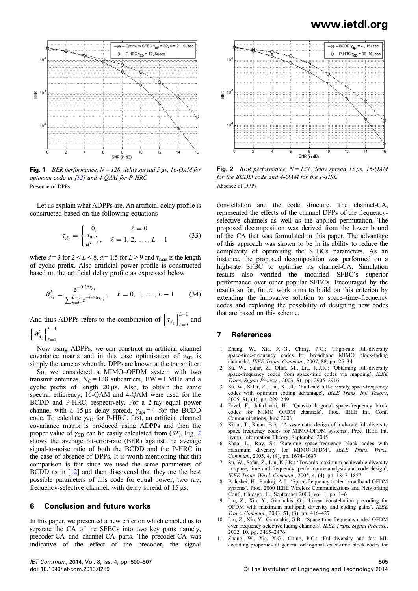

Fig. 1 BER performance,  $N = 128$ , delay spread 5 μs, 16-QAM for optimum code in [12] and 4-QAM for P-HRC Presence of DPPs

Let us explain what ADPPs are. An artificial delay profile is constructed based on the following equations

$$
\tau_{A_{\ell}} = \begin{cases} 0, & \ell = 0 \\ \frac{\tau_{\text{max}}}{d^{L-\ell}}, & \ell = 1, 2, ..., L-1 \end{cases}
$$
 (33)

where  $d = 3$  for  $2 \le L \le 8$ ,  $d = 1.5$  for  $L \ge 9$  and  $\tau_{\text{max}}$  is the length of cyclic prefix. Also artificial power profile is constructed based on the artificial delay profile as expressed below

$$
\vartheta_{A_{\ell}}^2 = \frac{e^{-0.26\tau_{A_{\ell}}}}{\sum_{k=0}^{L-1} e^{-0.26\tau_{A_k}}}, \quad \ell = 0, 1, ..., L-1 \quad (34)
$$

And thus ADPPs refers to the combination of  $\left\{\tau_{A_\ell}\right\}_{\ell=0}^{L-1}$  $\ell = 0$ and

 $\left\{\vartheta_{A_{\ell}}^{2}\right\}_{\ell=0}^{L-1}$  $l=0$ .

Now using ADPPs, we can construct an artificial channel covariance matrix and in this case optimisation of  $\gamma_{SD}$  is simply the same as when the DPPs are known at the transmitter.

So, we considered a MIMO–OFDM system with two transmit antennas,  $N_C = 128$  subcarriers, BW = 1 MHz and a cyclic prefix of length 20 μs. Also, to obtain the same spectral efficiency, 16-QAM and 4-QAM were used for the BCDD and P-HRC, respectively. For a 2-ray equal power channel with a 15 μs delay spread,  $\gamma_{\text{dpi}} = 4$  for the BCDD code. To calculate  $\gamma_{SD}$  for P-HRC, first, an artificial channel covariance matrix is produced using ADPPs and then the proper value of  $\gamma_{SD}$  can be easily calculated from (32). Fig. 2 shows the average bit-error-rate (BER) against the average signal-to-noise ratio of both the BCDD and the P-HRC in the case of absence of DPPs. It is worth mentioning that this comparison is fair since we used the same parameters of BCDD as in [12] and then discovered that they are the best possible parameters of this code for equal power, two ray, frequency-selective channel, with delay spread of 15 μs.

### 6 Conclusion and future works

In this paper, we presented a new criterion which enabled us to separate the CA of the SFBCs into two key parts namely, precoder-CA and channel-CA parts. The precoder-CA was indicative of the effect of the precoder, the signal



Fig. 2 BER performance,  $N = 128$ , delay spread 15  $\mu$ s, 16-QAM for the BCDD code and 4-QAM for the P-HRC Absence of DPPs

constellation and the code structure. The channel-CA, represented the effects of the channel DPPs of the frequencyselective channels as well as the applied permutation. The proposed decomposition was derived from the lower bound of the CA that was formulated in this paper. The advantage of this approach was shown to be in its ability to reduce the complexity of optimising the SFBCs parameters. As an instance, the proposed decomposition was performed on a high-rate SFBC to optimise its channel-CA. Simulation results also verified the modified SFBC's superior performance over other popular SFBCs. Encouraged by the results so far, future work aims to build on this criterion by extending the innovative solution to space–time–frequency codes and exploring the possibility of designing new codes that are based on this scheme.

### 7 References

- 1 Zhang, W., Xia, X.-G., Ching, P.C.: 'High-rate full-diversity space-time-frequency codes for broadband MIMO block-fading channels', IEEE Trans. Commun., 2007, 55, pp. 25–34
- 2 Su, W., Safar, Z., Olfat, M., Liu, K.J.R.: 'Obtaining full-diversity space-frequency codes from space-time codes via mapping', IEEE Trans. Signal Process., 2003, 51, pp. 2905–2916
- 3 Su, W., Safar, Z., Liu, K.J.R.: 'Full-rate full-diversity space-frequency codes with optimum coding advantage', IEEE Trans. Inf. Theory, 2005, 51, (1), pp. 229–249
- 4 Fazel, F., Jafarkhani, H.: 'Quasi-orthogonal space-frequency block codes for MIMO OFDM channels'. Proc. IEEE Int. Conf. Communications, June 2006
- 5 Kiran, T., Rajan, B.S.: 'A systematic design of high-rate full-diversity space frequency codes for MIMO-OFDM systems'. Proc. IEEE Int. Symp. Information Theory, September 2005
- 6 Shao, L., Roy, S.: 'Rate-one space-frequency block codes with maximum diversity for MIMO-OFDM', IEEE Trans. Wirel. Commun., 2005, 4, (4), pp. 1674–1687
- 7 Su, W., Safar, Z., Liu, K.J.R.: 'Towards maximum achievable diversity in space, time and frequency: performance analysis and code design', IEEE Trans. Wirel. Commun., 2005, 4, (4), pp. 1847–1857
- 8 Bolcskei, H., Paulraj, A.J.: 'Space-frequency coded broadband OFDM systems'. Proc. 2000 IEEE Wireless Communications and Networking Conf., Chicago, IL, September 2000, vol. 1, pp. 1–6
- Liu, Z., Xin, Y., Giannakis, G.: 'Linear constellation precoding for OFDM with maximum multipath diversity and coding gains', IEEE Trans. Commun., 2003, 51, (3), pp. 416–427
- 10 Liu, Z., Xin, Y., Giannakis, G.B.: 'Space-time-frequency coded OFDM over frequency-selective fading channels', IEEE Trans. Signal Process., 2002, 10, pp. 3465–2476
- 11 Zhang, W., Xia, X.G., Ching, P.C.: 'Full-diversity and fast ML decoding properties of general orthogonal space-time block codes for

IET Commun., 2014, Vol. 8, Iss. 4, pp. 500–507 doi: 10.1049/iet-com.2013.0289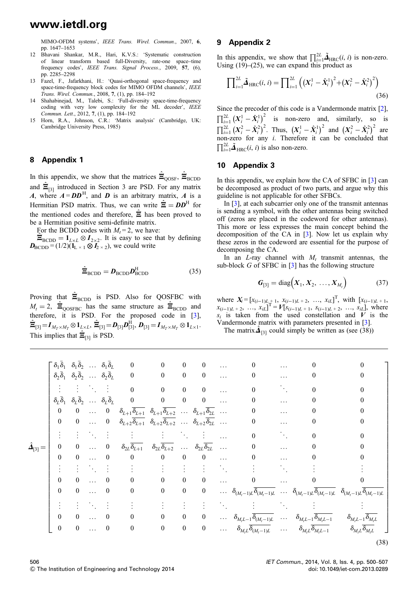MIMO-OFDM systems', IEEE Trans. Wirel. Commun., 2007, 6, pp. 1647–1653

- 12 Bhavani Shankar, M.R., Hari, K.V.S.: 'Systematic construction of linear transform based full-Diversity, rate-one space–time frequency codes', IEEE Trans. Signal Process., 2009, 57, (6), pp. 2285–2298
- 13 Fazel, F., Jafarkhani, H.: 'Quasi-orthogonal space-frequency and space-time-frequency block codes for MIMO OFDM channels', IEEE Trans. Wirel. Commun., 2008, 7, (1), pp. 184–192
- 14 Shahabinejad, M., Talebi, S.: 'Full-diversity space-time-frequency coding with very low complexity for the ML decoder', IEEE Commun. Lett., 2012, 7, (1), pp. 184–192
- 15 Horn, R.A., Johnson, C.R.: 'Matrix analysis' (Cambridge, UK: Cambridge University Press, 1985)

### 8 Appendix 1

In this appendix, we show that the matrices  $\hat{\Xi}_{\text{QOSF}}$ ,  $\hat{\Xi}_{\text{BCDD}}$ and  $\hat{\Xi}_{[3]}$  introduced in Section 3 are PSD. For any matrix A, where  $A = D D<sup>H</sup>$ , and D is an arbitrary matrix, A is a Hermitian PSD matrix. Thus, we can write  $\hat{\mathbf{\Xi}} = \mathbf{D}\mathbf{D}^{\mathrm{H}}$  for the mentioned codes and therefore,  $\hat{\Xi}$  has been proved to be a Hermitian positive semi-definite matrix.

For the BCDD codes with  $M_t = 2$ , we have:

 $\Xi_{\text{BCDD}} = \mathbf{1}_{L \times L} \otimes \mathbf{I}_{2 \times 2}$ . It is easy to see that by defining  $\mathbf{D}_{\text{BCDD}} = (1/2)(\mathbf{1}_{\text{L} \times 1} \otimes \mathbf{I}_{2 \times 2})$ , we could write

$$
\hat{\Xi}_{\text{BCDD}} = \boldsymbol{D}_{\text{BCDD}} \boldsymbol{D}_{\text{BCDD}}^{\text{H}} \tag{35}
$$

Proving that  $\hat{\Xi}_{\text{BCDD}}$  is PSD. Also for QOSFBC with  $M_t = 2$ ,  $\hat{\Xi}_{\text{QOSFBC}}$  has the same structure as  $\hat{\Xi}_{\text{BCDD}}$  and therefore, it is PSD. For the proposed code in [3],  $\hat{\Xi}_{[3]} = I_{M_T \times M_T} \otimes 1_{L \times L}, \, \hat{\Xi}_{[3]} = D_{[3]} D^{\rm H}_{[3]}, \, D_{[3]} = I_{M_T \times M_T} \otimes 1_{L \times 1}.$ This implies that  $\hat{\Xi}_{[3]}$  is PSD.

### 9 Appendix 2

In this appendix, we show that  $\prod_{i=1}^{2L} \tilde{\mathbf{\Delta}}_{HRC}(i, i)$  is non-zero. Using  $(19)$ – $(25)$ , we can expand this product as

$$
\prod_{i=1}^{2L} \tilde{\mathbf{\Delta}}_{\text{HRC}}(i, i) = \prod_{i=1}^{2L} \left( \left( X_i^1 - \hat{X}_i^1 \right)^2 + \left( X_i^2 - \hat{X}_i^2 \right)^2 \right)
$$
(36)

Since the precoder of this code is a Vandermonde matrix [2],  $\prod_{i=1}^{2L} (X_i^1 - \hat{X}_i^1)^2$  is non-zero and, similarly, so is  $\prod_{i=1}^{2L} (X_i^2 - \hat{X}_i^2)^2$ . Thus,  $(X_i^1 - \hat{X}_i^1)^2$  and  $(X_i^2 - \hat{X}_i^2)^2$  are non-zero for any i. Therefore it can be concluded that  $\prod_{i=1}^{2L} \tilde{\mathbf{\Delta}}_{\text{HRC}}(i, i)$  is also non-zero.

#### 10 Appendix 3

In this appendix, we explain how the CA of SFBC in [3] can be decomposed as product of two parts, and argue why this guideline is not applicable for other SFBCs.

In [3], at each subcarrier only one of the transmit antennas is sending a symbol, with the other antennas being switched off (zeros are placed in the codeword for other antennas). This more or less expresses the main concept behind the decomposition of the CA in [3]. Now let us explain why these zeros in the codeword are essential for the purpose of decomposing the CA.

In an  $L$ -ray channel with  $M_t$  transmit antennas, the sub-block  $G$  of SFBC in  $[3]$  has the following structure

$$
G_{[3]} = \text{diag}(X_1, X_2, \dots, X_{M_t})
$$
 (37)

where  $X_i = [x_{(i-1)L} + 1, x_{(i-1)L} + 2, ..., x_{iL}]^T$ , with  $[x_{(i-1)L} + 1, x_{(i-1)L}]^T$  $x_{(i-1)L+2}, \ldots, x_{iL}$ <sup>T</sup> =  $V[s_{(i-1)L+1}, s_{(i-1)L+2}, \ldots, s_{iL}]$ , where  $s_i$  is taken from the used constellation and V is the Vandermonde matrix with parameters presented in [3].

The matrix  $\hat{\mathbf{\Delta}}_{[3]}$  could simply be written as (see (38))

|                            |                  |                         | $\bar{\delta}_1 \bar{\delta}_1 \quad \delta_1 \bar{\delta}_2 \quad \dots \quad \delta_1 \bar{\delta}_L$ | $\bf{0}$                                                                     | $\overline{\phantom{0}}$                                                                                                                         | $\boldsymbol{0}$ | $\boldsymbol{0}$                                              |                | $\mathbf{0}$                                                                               |                             | 0                                                                                                                                                                                    |                                                   |
|----------------------------|------------------|-------------------------|---------------------------------------------------------------------------------------------------------|------------------------------------------------------------------------------|--------------------------------------------------------------------------------------------------------------------------------------------------|------------------|---------------------------------------------------------------|----------------|--------------------------------------------------------------------------------------------|-----------------------------|--------------------------------------------------------------------------------------------------------------------------------------------------------------------------------------|---------------------------------------------------|
|                            |                  |                         |                                                                                                         | $\delta_2\bar{\delta}_1$ $\delta_2\bar{\delta}_2$ $\delta_2\bar{\delta}_L$ 0 | $\overline{\phantom{0}}$                                                                                                                         | $\boldsymbol{0}$ | $\bf{0}$                                                      | $\ldots$       | $\boldsymbol{0}$                                                                           | $\ldots$                    | $\boldsymbol{0}$                                                                                                                                                                     | 0                                                 |
|                            |                  |                         | 法国法律 医心脏病                                                                                               | $\mathbf{0}$                                                                 | $\overline{\phantom{0}}$                                                                                                                         | $\boldsymbol{0}$ | $\boldsymbol{0}$                                              | $\ddots$       | $\boldsymbol{0}$                                                                           | $\mathcal{L}_{\text{max}}$  | $\theta$                                                                                                                                                                             | 0                                                 |
|                            |                  |                         | $\delta_L \bar{\delta}_1$ $\delta_L \bar{\delta}_2$ $\delta_L \bar{\delta}_L$                           | $\mathbf{0}$                                                                 | $\bf{0}$<br>$\overline{\phantom{0}}$                                                                                                             |                  | $\overline{\mathbf{0}}$                                       | $\mathbb{Z}$ . | 0                                                                                          |                             | 0                                                                                                                                                                                    | 0                                                 |
|                            | $\boldsymbol{0}$ |                         |                                                                                                         |                                                                              | 0  0 $\delta_{L+1} \overline{\delta_{L+1}} \ \delta_{L+1} \ \delta_{L+2}$ $\delta_{L+1} \overline{\delta_{2L}}$                                  |                  |                                                               |                | $\boldsymbol{0}$                                                                           | $\cdots$                    | 0                                                                                                                                                                                    | 0                                                 |
|                            | $\boldsymbol{0}$ |                         |                                                                                                         |                                                                              | 0  0 $\delta_{L+2}\overline{\delta_{L+1}}$ $\delta_{L+2}\overline{\delta_{L+2}}$ $\delta_{L+2}\overline{\delta_{2L}}$                            |                  |                                                               |                | $\boldsymbol{0}$                                                                           | $\ldots$                    | 0                                                                                                                                                                                    | 0                                                 |
|                            |                  |                         |                                                                                                         | 王の王の死の王の (王の)                                                                | in Europa (Barbara)                                                                                                                              |                  |                                                               |                | $\boldsymbol{0}$                                                                           | $\mathcal{L}_{\text{max}}$  | $\boldsymbol{0}$                                                                                                                                                                     | 0                                                 |
| $\hat{\mathbf{A}}_{[3]} =$ | $\boldsymbol{0}$ | $\bf{0}$                | $\ldots$ 0                                                                                              |                                                                              | $\delta_{2L} \overline{\delta_{L+1}} \quad \delta_{2L} \overline{\delta_{L+2}} \quad \dots \quad \delta_{2L} \overline{\delta_{2L}} \quad \dots$ |                  |                                                               |                | $\boldsymbol{0}$                                                                           |                             | $\boldsymbol{0}$                                                                                                                                                                     | 0                                                 |
|                            | $\boldsymbol{0}$ | $\overline{\mathbf{0}}$ | $\ldots$ 0                                                                                              | $\bf{0}$                                                                     | $\overline{0}$                                                                                                                                   | $\boldsymbol{0}$ | $\bf{0}$                                                      | $\ddotsc$      | $\boldsymbol{0}$                                                                           |                             | 0                                                                                                                                                                                    | 0                                                 |
|                            |                  |                         | $\mathbf{F} = \mathbf{F} \times \mathbf{F} \times \mathbf{F}$                                           | $\mathcal{L}(\mathcal{L})$                                                   |                                                                                                                                                  |                  | $\mathcal{A}=\mathcal{A}=\mathcal{A}=\mathcal{A}=\mathcal{A}$ |                | $\frac{1}{2}$                                                                              | $\mathcal{L}_{\mathcal{L}}$ |                                                                                                                                                                                      |                                                   |
|                            | $\mathbf{0}$     | $\boldsymbol{0}$        | $\ldots$ 0                                                                                              | $\overline{0}$                                                               | $\bf{0}$                                                                                                                                         | $\boldsymbol{0}$ | $\bf{0}$                                                      |                | $\overline{0}$<br>$\mathbf{1}$ , $\mathbf{1}$ , $\mathbf{1}$ , $\mathbf{1}$ , $\mathbf{1}$ | $\ldots$                    | $\bf{0}$                                                                                                                                                                             | $\boldsymbol{0}$                                  |
|                            | $\boldsymbol{0}$ | $\bf{0}$                | $\ldots$ 0                                                                                              | $\boldsymbol{0}$                                                             | $\bf{0}$                                                                                                                                         | $\boldsymbol{0}$ | $\boldsymbol{0}$                                              |                |                                                                                            |                             | $\ldots \quad \delta_{(M_t-1)L} \overline{\delta_{(M_t-1)L}} \quad \ldots \quad \delta_{(M_t-1)L} \overline{\delta_{(M_t-1)L}} \quad \delta_{(M_t-1)L} \overline{\delta_{(M_t-1)L}}$ |                                                   |
|                            |                  |                         | $\mathbb{R}^n \times \mathbb{R}^n \times \mathbb{R}^n$                                                  |                                                                              |                                                                                                                                                  |                  |                                                               |                |                                                                                            |                             |                                                                                                                                                                                      |                                                   |
|                            | $\mathbf{0}$     | $\overline{0}$          | $\ldots$ 0                                                                                              | $\boldsymbol{0}$                                                             | $\bf{0}$                                                                                                                                         | $\boldsymbol{0}$ | $\boldsymbol{0}$                                              |                |                                                                                            |                             | $\ldots \quad \delta_{M_t L-1} \delta_{(M_t-1)L} \quad \ldots \quad \delta_{M_t L-1} \delta_{M_t L-1}$                                                                               | $\delta_{M_{t}L-1}\overline{\delta_{M_{t}L}}$     |
|                            | $\boldsymbol{0}$ | $\bf{0}$                | $\ldots$ 0                                                                                              | $\boldsymbol{0}$                                                             | $\boldsymbol{0}$                                                                                                                                 | $\boldsymbol{0}$ | $\boldsymbol{0}$                                              |                | $\ldots \qquad \delta_{M_t L} \overline{\delta_{(M_t-1)L}} \qquad \ldots$                  |                             | $\delta_{M_{t}L}\overline{\delta_{M_{t}L-1}}$                                                                                                                                        | $\delta_{M_{\tau}L}\overline{\delta_{M_{\tau}L}}$ |
|                            |                  |                         |                                                                                                         |                                                                              |                                                                                                                                                  |                  |                                                               |                |                                                                                            |                             |                                                                                                                                                                                      | (38)                                              |